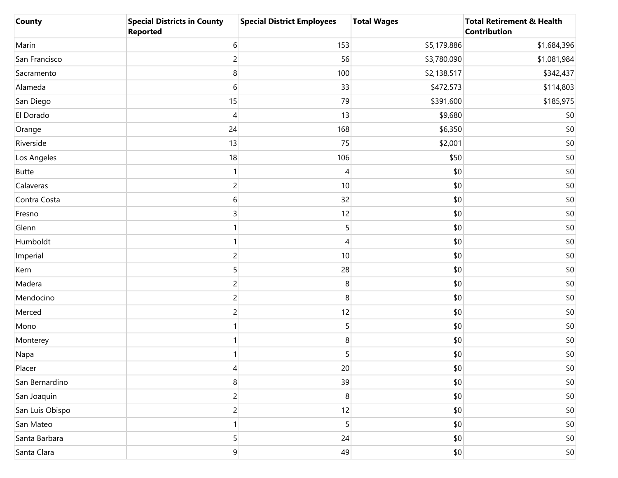| <b>County</b>   | <b>Special Districts in County</b><br><b>Reported</b> | <b>Special District Employees</b> | <b>Total Wages</b> | <b>Total Retirement &amp; Health</b><br>Contribution |
|-----------------|-------------------------------------------------------|-----------------------------------|--------------------|------------------------------------------------------|
| Marin           | 6                                                     | 153                               | \$5,179,886        | \$1,684,396                                          |
| San Francisco   | $\overline{c}$                                        | 56                                | \$3,780,090        | \$1,081,984                                          |
| Sacramento      | 8                                                     | 100                               | \$2,138,517        | \$342,437                                            |
| Alameda         | 6                                                     | 33                                | \$472,573          | \$114,803                                            |
| San Diego       | 15                                                    | 79                                | \$391,600          | \$185,975                                            |
| El Dorado       | 4                                                     | 13                                | \$9,680            | \$0                                                  |
| Orange          | 24                                                    | 168                               | \$6,350            | \$0                                                  |
| Riverside       | 13                                                    | 75                                | \$2,001            | \$0                                                  |
| Los Angeles     | 18                                                    | 106                               | \$50               | \$0                                                  |
| <b>Butte</b>    |                                                       | 4                                 | \$0                | \$0                                                  |
| Calaveras       | $\overline{c}$                                        | 10                                | \$0                | \$0                                                  |
| Contra Costa    | 6                                                     | 32                                | \$0                | \$0                                                  |
| Fresno          | 3                                                     | 12                                | \$0                | \$0                                                  |
| Glenn           |                                                       | 5                                 | \$0                | \$0                                                  |
| Humboldt        |                                                       | 4                                 | \$0                | \$0                                                  |
| Imperial        | $\overline{c}$                                        | 10                                | \$0                | \$0                                                  |
| Kern            | 5                                                     | 28                                | \$0                | \$0                                                  |
| Madera          | 2                                                     | 8                                 | \$0                | \$0                                                  |
| Mendocino       | 2                                                     | 8                                 | \$0                | \$0                                                  |
| Merced          | 2                                                     | 12                                | \$0                | \$0                                                  |
| Mono            |                                                       | 5                                 | \$0                | \$0                                                  |
| Monterey        |                                                       | 8                                 | \$0                | \$0                                                  |
| Napa            |                                                       | 5                                 | \$0                | \$0                                                  |
| Placer          | 4                                                     | 20                                | \$0                | \$0                                                  |
| San Bernardino  | 8                                                     | 39                                | \$0                | \$0                                                  |
| San Joaquin     | $\overline{c}$                                        | 8                                 | \$0                | \$0                                                  |
| San Luis Obispo | $\overline{c}$                                        | 12                                | \$0                | \$0                                                  |
| San Mateo       |                                                       | 5                                 | \$0                | \$0                                                  |
| Santa Barbara   | 5                                                     | 24                                | \$0                | \$0                                                  |
| Santa Clara     | $\mathsf 9$                                           | 49                                | \$0                | \$0                                                  |